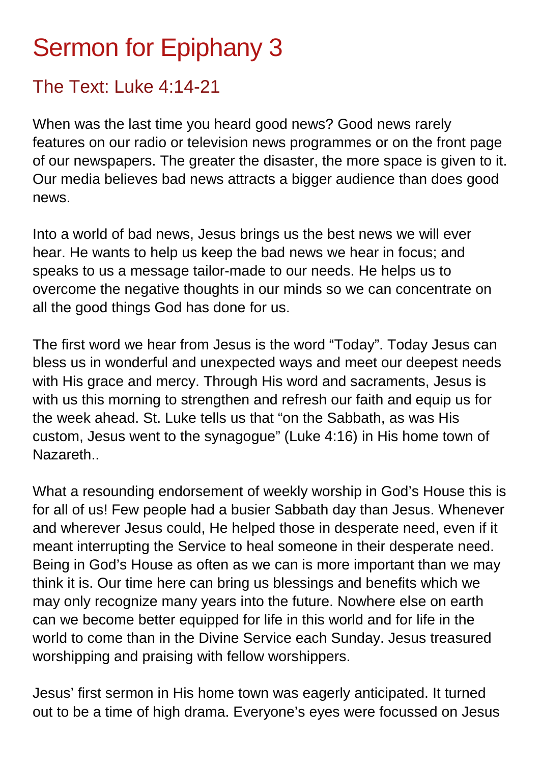## Sermon for Epiphany 3

## The Text: Luke 4:14-21

When was the last time you heard good news? Good news rarely features on our radio or television news programmes or on the front page of our newspapers. The greater the disaster, the more space is given to it. Our media believes bad news attracts a bigger audience than does good news.

Into a world of bad news, Jesus brings us the best news we will ever hear. He wants to help us keep the bad news we hear in focus; and speaks to us a message tailor-made to our needs. He helps us to overcome the negative thoughts in our minds so we can concentrate on all the good things God has done for us.

The first word we hear from Jesus is the word "Today". Today Jesus can bless us in wonderful and unexpected ways and meet our deepest needs with His grace and mercy. Through His word and sacraments, Jesus is with us this morning to strengthen and refresh our faith and equip us for the week ahead. St. Luke tells us that "on the Sabbath, as was His custom, Jesus went to the synagogue" (Luke 4:16) in His home town of Nazareth..

What a resounding endorsement of weekly worship in God's House this is for all of us! Few people had a busier Sabbath day than Jesus. Whenever and wherever Jesus could, He helped those in desperate need, even if it meant interrupting the Service to heal someone in their desperate need. Being in God's House as often as we can is more important than we may think it is. Our time here can bring us blessings and benefits which we may only recognize many years into the future. Nowhere else on earth can we become better equipped for life in this world and for life in the world to come than in the Divine Service each Sunday. Jesus treasured worshipping and praising with fellow worshippers.

Jesus' first sermon in His home town was eagerly anticipated. It turned out to be a time of high drama. Everyone's eyes were focussed on Jesus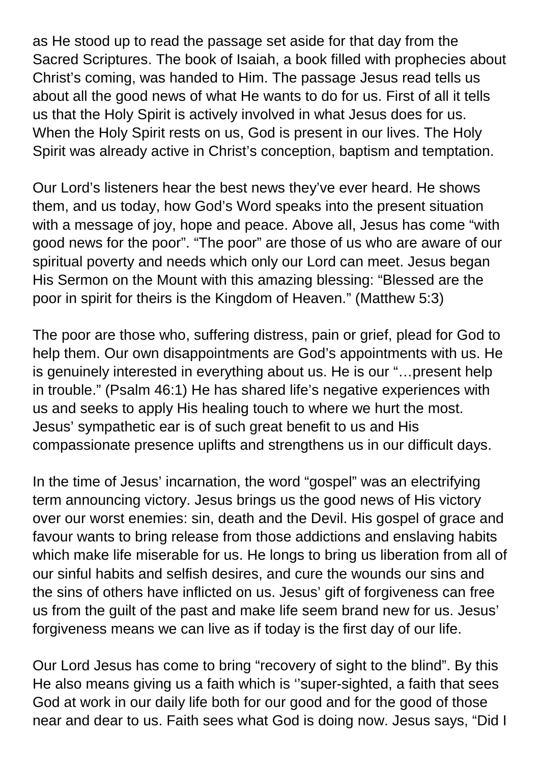as He stood up to read the passage set aside for that day from the Sacred Scriptures. The book of Isaiah, a book filled with prophecies about Christ's coming, was handed to Him. The passage Jesus read tells us about all the good news of what He wants to do for us. First of all it tells us that the Holy Spirit is actively involved in what Jesus does for us. When the Holy Spirit rests on us, God is present in our lives. The Holy Spirit was already active in Christ's conception, baptism and temptation.

Our Lord's listeners hear the best news they've ever heard. He shows them, and us today, how God's Word speaks into the present situation with a message of joy, hope and peace. Above all, Jesus has come "with good news for the poor". "The poor" are those of us who are aware of our spiritual poverty and needs which only our Lord can meet. Jesus began His Sermon on the Mount with this amazing blessing: "Blessed are the poor in spirit for theirs is the Kingdom of Heaven." (Matthew 5:3)

The poor are those who, suffering distress, pain or grief, plead for God to help them. Our own disappointments are God's appointments with us. He is genuinely interested in everything about us. He is our "…present help in trouble." (Psalm 46:1) He has shared life's negative experiences with us and seeks to apply His healing touch to where we hurt the most. Jesus' sympathetic ear is of such great benefit to us and His compassionate presence uplifts and strengthens us in our difficult days.

In the time of Jesus' incarnation, the word "gospel" was an electrifying term announcing victory. Jesus brings us the good news of His victory over our worst enemies: sin, death and the Devil. His gospel of grace and favour wants to bring release from those addictions and enslaving habits which make life miserable for us. He longs to bring us liberation from all of our sinful habits and selfish desires, and cure the wounds our sins and the sins of others have inflicted on us. Jesus' gift of forgiveness can free us from the guilt of the past and make life seem brand new for us. Jesus' forgiveness means we can live as if today is the first day of our life.

Our Lord Jesus has come to bring "recovery of sight to the blind". By this He also means giving us a faith which is ''super-sighted, a faith that sees God at work in our daily life both for our good and for the good of those near and dear to us. Faith sees what God is doing now. Jesus says, "Did I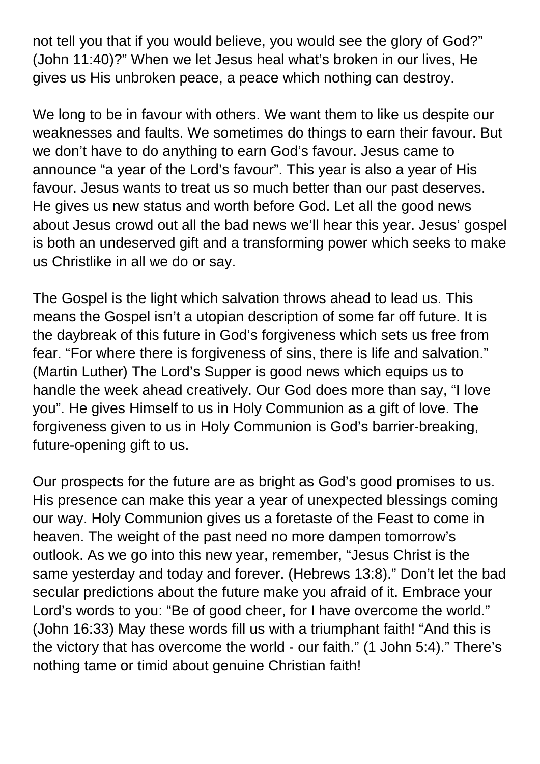not tell you that if you would believe, you would see the glory of God?" (John 11:40)?" When we let Jesus heal what's broken in our lives, He gives us His unbroken peace, a peace which nothing can destroy.

We long to be in favour with others. We want them to like us despite our weaknesses and faults. We sometimes do things to earn their favour. But we don't have to do anything to earn God's favour. Jesus came to announce "a year of the Lord's favour". This year is also a year of His favour. Jesus wants to treat us so much better than our past deserves. He gives us new status and worth before God. Let all the good news about Jesus crowd out all the bad news we'll hear this year. Jesus' gospel is both an undeserved gift and a transforming power which seeks to make us Christlike in all we do or say.

The Gospel is the light which salvation throws ahead to lead us. This means the Gospel isn't a utopian description of some far off future. It is the daybreak of this future in God's forgiveness which sets us free from fear. "For where there is forgiveness of sins, there is life and salvation." (Martin Luther) The Lord's Supper is good news which equips us to handle the week ahead creatively. Our God does more than say, "I love you". He gives Himself to us in Holy Communion as a gift of love. The forgiveness given to us in Holy Communion is God's barrier-breaking, future-opening gift to us.

Our prospects for the future are as bright as God's good promises to us. His presence can make this year a year of unexpected blessings coming our way. Holy Communion gives us a foretaste of the Feast to come in heaven. The weight of the past need no more dampen tomorrow's outlook. As we go into this new year, remember, "Jesus Christ is the same yesterday and today and forever. (Hebrews 13:8)." Don't let the bad secular predictions about the future make you afraid of it. Embrace your Lord's words to you: "Be of good cheer, for I have overcome the world." (John 16:33) May these words fill us with a triumphant faith! "And this is the victory that has overcome the world - our faith." (1 John 5:4)." There's nothing tame or timid about genuine Christian faith!